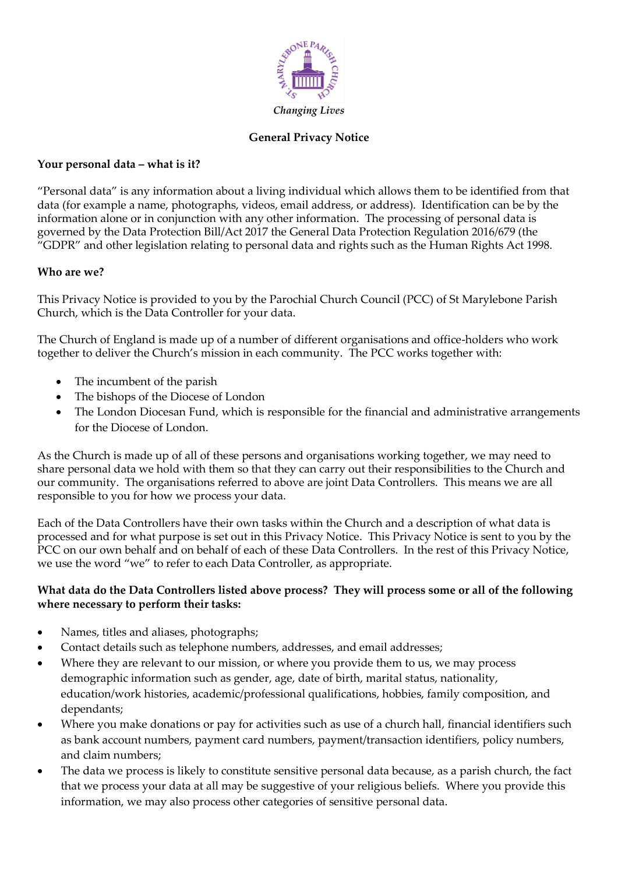

### **General Privacy Notice**

### **Your personal data – what is it?**

"Personal data" is any information about a living individual which allows them to be identified from that data (for example a name, photographs, videos, email address, or address). Identification can be by the information alone or in conjunction with any other information. The processing of personal data is governed by the Data Protection Bill/Act 2017 the General Data Protection Regulation 2016/679 (the "GDPR" and other legislation relating to personal data and rights such as the Human Rights Act 1998.

### **Who are we?**

This Privacy Notice is provided to you by the Parochial Church Council (PCC) of St Marylebone Parish Church, which is the Data Controller for your data.

The Church of England is made up of a number of different organisations and office-holders who work together to deliver the Church's mission in each community. The PCC works together with:

- The incumbent of the parish
- The bishops of the Diocese of London
- The London Diocesan Fund, which is responsible for the financial and administrative arrangements for the Diocese of London.

As the Church is made up of all of these persons and organisations working together, we may need to share personal data we hold with them so that they can carry out their responsibilities to the Church and our community. The organisations referred to above are joint Data Controllers. This means we are all responsible to you for how we process your data.

Each of the Data Controllers have their own tasks within the Church and a description of what data is processed and for what purpose is set out in this Privacy Notice. This Privacy Notice is sent to you by the PCC on our own behalf and on behalf of each of these Data Controllers. In the rest of this Privacy Notice, we use the word "we" to refer to each Data Controller, as appropriate.

### **What data do the Data Controllers listed above process? They will process some or all of the following where necessary to perform their tasks:**

- Names, titles and aliases, photographs;
- Contact details such as telephone numbers, addresses, and email addresses;
- Where they are relevant to our mission, or where you provide them to us, we may process demographic information such as gender, age, date of birth, marital status, nationality, education/work histories, academic/professional qualifications, hobbies, family composition, and dependants;
- Where you make donations or pay for activities such as use of a church hall, financial identifiers such as bank account numbers, payment card numbers, payment/transaction identifiers, policy numbers, and claim numbers;
- The data we process is likely to constitute sensitive personal data because, as a parish church, the fact that we process your data at all may be suggestive of your religious beliefs. Where you provide this information, we may also process other categories of sensitive personal data.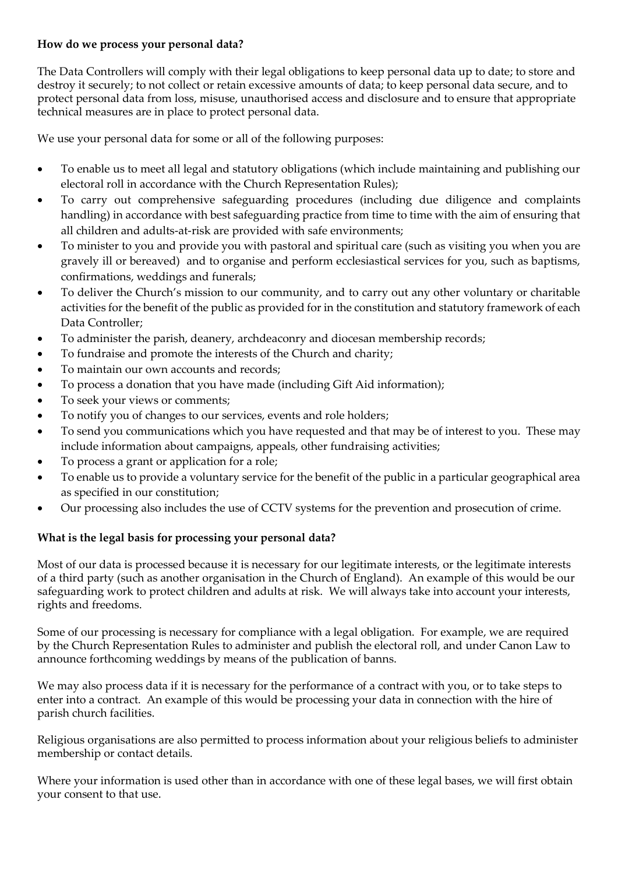### **How do we process your personal data?**

The Data Controllers will comply with their legal obligations to keep personal data up to date; to store and destroy it securely; to not collect or retain excessive amounts of data; to keep personal data secure, and to protect personal data from loss, misuse, unauthorised access and disclosure and to ensure that appropriate technical measures are in place to protect personal data.

We use your personal data for some or all of the following purposes:

- To enable us to meet all legal and statutory obligations (which include maintaining and publishing our electoral roll in accordance with the Church Representation Rules);
- To carry out comprehensive safeguarding procedures (including due diligence and complaints handling) in accordance with best safeguarding practice from time to time with the aim of ensuring that all children and adults-at-risk are provided with safe environments;
- To minister to you and provide you with pastoral and spiritual care (such as visiting you when you are gravely ill or bereaved) and to organise and perform ecclesiastical services for you, such as baptisms, confirmations, weddings and funerals;
- To deliver the Church's mission to our community, and to carry out any other voluntary or charitable activities for the benefit of the public as provided for in the constitution and statutory framework of each Data Controller;
- To administer the parish, deanery, archdeaconry and diocesan membership records;
- To fundraise and promote the interests of the Church and charity;
- To maintain our own accounts and records;
- To process a donation that you have made (including Gift Aid information);
- To seek your views or comments;
- To notify you of changes to our services, events and role holders;
- To send you communications which you have requested and that may be of interest to you. These may include information about campaigns, appeals, other fundraising activities;
- To process a grant or application for a role;
- To enable us to provide a voluntary service for the benefit of the public in a particular geographical area as specified in our constitution;
- Our processing also includes the use of CCTV systems for the prevention and prosecution of crime.

# **What is the legal basis for processing your personal data?**

Most of our data is processed because it is necessary for our legitimate interests, or the legitimate interests of a third party (such as another organisation in the Church of England). An example of this would be our safeguarding work to protect children and adults at risk. We will always take into account your interests, rights and freedoms.

Some of our processing is necessary for compliance with a legal obligation. For example, we are required by the Church Representation Rules to administer and publish the electoral roll, and under Canon Law to announce forthcoming weddings by means of the publication of banns.

We may also process data if it is necessary for the performance of a contract with you, or to take steps to enter into a contract. An example of this would be processing your data in connection with the hire of parish church facilities.

Religious organisations are also permitted to process information about your religious beliefs to administer membership or contact details.

Where your information is used other than in accordance with one of these legal bases, we will first obtain your consent to that use.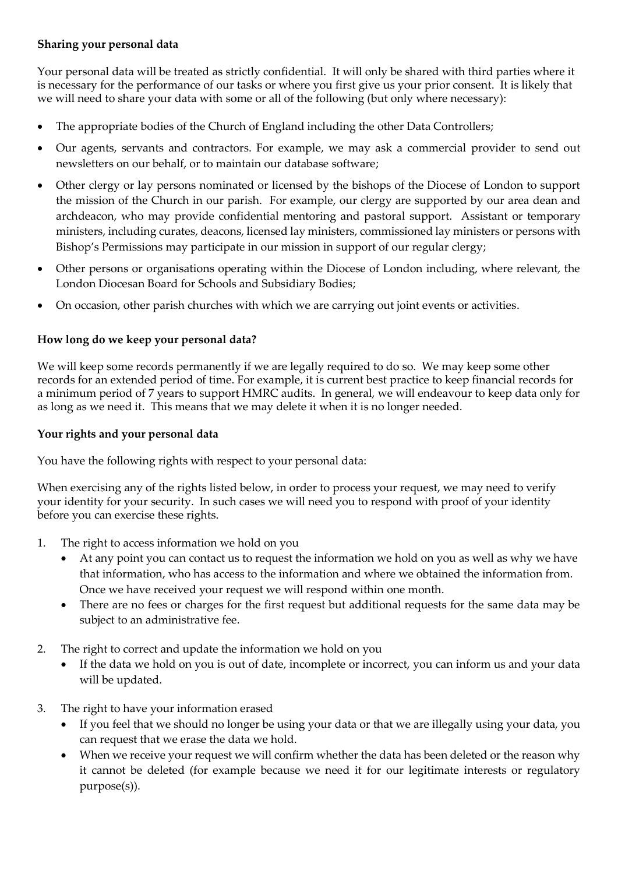## **Sharing your personal data**

Your personal data will be treated as strictly confidential. It will only be shared with third parties where it is necessary for the performance of our tasks or where you first give us your prior consent. It is likely that we will need to share your data with some or all of the following (but only where necessary):

- The appropriate bodies of the Church of England including the other Data Controllers;
- Our agents, servants and contractors. For example, we may ask a commercial provider to send out newsletters on our behalf, or to maintain our database software;
- Other clergy or lay persons nominated or licensed by the bishops of the Diocese of London to support the mission of the Church in our parish. For example, our clergy are supported by our area dean and archdeacon, who may provide confidential mentoring and pastoral support. Assistant or temporary ministers, including curates, deacons, licensed lay ministers, commissioned lay ministers or persons with Bishop's Permissions may participate in our mission in support of our regular clergy;
- Other persons or organisations operating within the Diocese of London including, where relevant, the London Diocesan Board for Schools and Subsidiary Bodies;
- On occasion, other parish churches with which we are carrying out joint events or activities.

# **How long do we keep your personal data?**

We will keep some records permanently if we are legally required to do so. We may keep some other records for an extended period of time. For example, it is current best practice to keep financial records for a minimum period of 7 years to support HMRC audits. In general, we will endeavour to keep data only for as long as we need it. This means that we may delete it when it is no longer needed.

## **Your rights and your personal data**

You have the following rights with respect to your personal data:

When exercising any of the rights listed below, in order to process your request, we may need to verify your identity for your security. In such cases we will need you to respond with proof of your identity before you can exercise these rights.

- 1. The right to access information we hold on you
	- At any point you can contact us to request the information we hold on you as well as why we have that information, who has access to the information and where we obtained the information from. Once we have received your request we will respond within one month.
	- There are no fees or charges for the first request but additional requests for the same data may be subject to an administrative fee.
- 2. The right to correct and update the information we hold on you
	- If the data we hold on you is out of date, incomplete or incorrect, you can inform us and your data will be updated.
- 3. The right to have your information erased
	- If you feel that we should no longer be using your data or that we are illegally using your data, you can request that we erase the data we hold.
	- When we receive your request we will confirm whether the data has been deleted or the reason why it cannot be deleted (for example because we need it for our legitimate interests or regulatory purpose(s)).